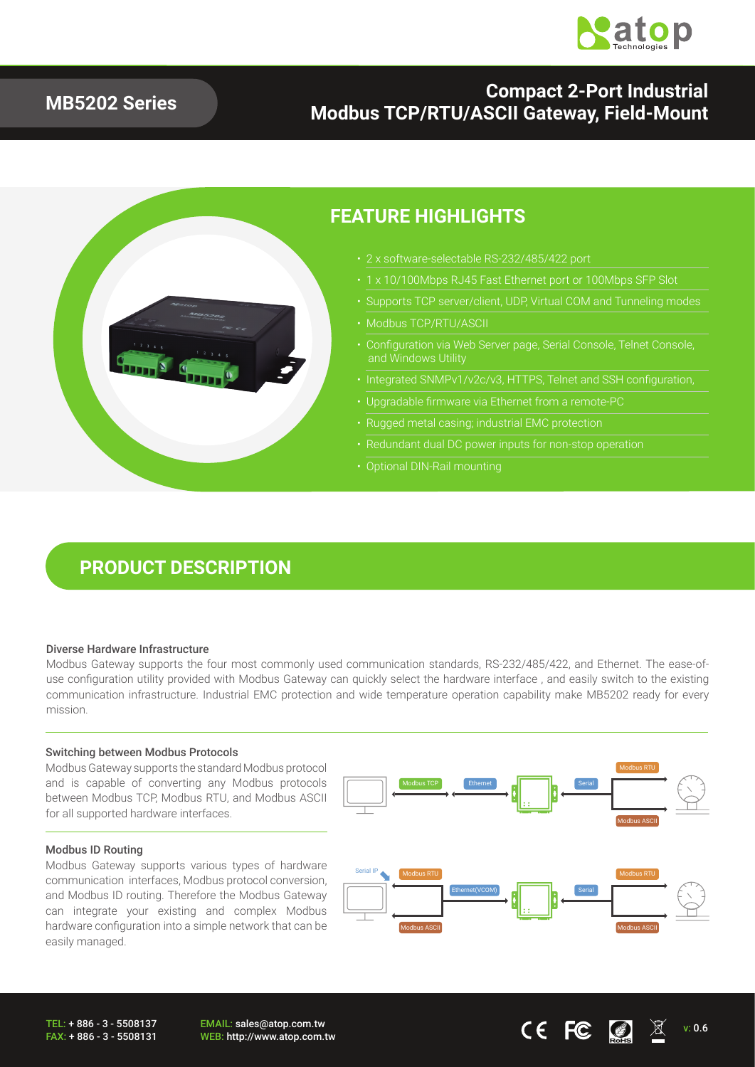

### **MB5202 Series**

### **Compact 2-Port Industrial Modbus TCP/RTU/ASCII Gateway, Field-Mount**



### **FEATURE HIGHLIGHTS**

- 2 x software-selectable RS-232/485/422 port
	-
- Supports TCP server/client, UDP, Virtual COM and Tunneling modes
- Modbus TCP/RTU/ASCII
- Configuration via Web Server page, Serial Console, Telnet Console, and Windows Utility
- Integrated SNMPv1/v2c/v3, HTTPS, Telnet and SSH configuration,
- Upgradable firmware via Ethernet from a remote-PC
- Rugged metal casing; industrial EMC protection
- 
- Optional DIN-Rail mounting

## **PRODUCT DESCRIPTION**

#### Diverse Hardware Infrastructure

Modbus Gateway supports the four most commonly used communication standards, RS-232/485/422, and Ethernet. The ease-ofuse configuration utility provided with Modbus Gateway can quickly select the hardware interface , and easily switch to the existing communication infrastructure. Industrial EMC protection and wide temperature operation capability make MB5202 ready for every mission.

#### Switching between Modbus Protocols

Modbus Gateway supports the standard Modbus protocol and is capable of converting any Modbus protocols between Modbus TCP, Modbus RTU, and Modbus ASCII for all supported hardware interfaces.

#### Modbus ID Routing

Modbus Gateway supports various types of hardware communication interfaces, Modbus protocol conversion, and Modbus ID routing. Therefore the Modbus Gateway can integrate your existing and complex Modbus hardware configuration into a simple network that can be easily managed.

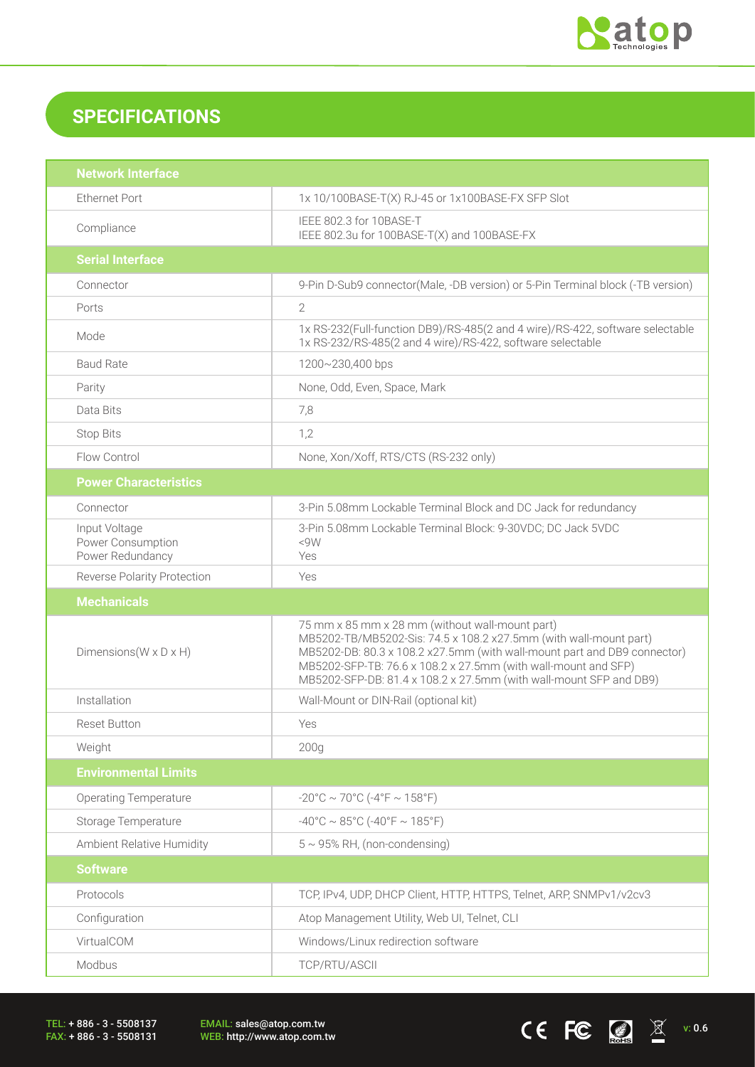

 $CE$  FC  $\bigcirc$   $\mathbb{Z}$   $\mathbb{X}$  v: 0.6

## **SPECIFICATIONS**

| <b>Network Interface</b>                               |                                                                                                                                                                                                                                                                                                                                          |  |
|--------------------------------------------------------|------------------------------------------------------------------------------------------------------------------------------------------------------------------------------------------------------------------------------------------------------------------------------------------------------------------------------------------|--|
| <b>Ethernet Port</b>                                   | 1x 10/100BASE-T(X) RJ-45 or 1x100BASE-FX SFP Slot                                                                                                                                                                                                                                                                                        |  |
| Compliance                                             | IEEE 802.3 for 10BASE-T<br>IEEE 802.3u for 100BASE-T(X) and 100BASE-FX                                                                                                                                                                                                                                                                   |  |
| <b>Serial Interface</b>                                |                                                                                                                                                                                                                                                                                                                                          |  |
| Connector                                              | 9-Pin D-Sub9 connector(Male, -DB version) or 5-Pin Terminal block (-TB version)                                                                                                                                                                                                                                                          |  |
| Ports                                                  | $\overline{2}$                                                                                                                                                                                                                                                                                                                           |  |
| Mode                                                   | 1x RS-232(Full-function DB9)/RS-485(2 and 4 wire)/RS-422, software selectable<br>1x RS-232/RS-485(2 and 4 wire)/RS-422, software selectable                                                                                                                                                                                              |  |
| <b>Baud Rate</b>                                       | 1200~230,400 bps                                                                                                                                                                                                                                                                                                                         |  |
| Parity                                                 | None, Odd, Even, Space, Mark                                                                                                                                                                                                                                                                                                             |  |
| Data Bits                                              | 7,8                                                                                                                                                                                                                                                                                                                                      |  |
| <b>Stop Bits</b>                                       | 1,2                                                                                                                                                                                                                                                                                                                                      |  |
| Flow Control                                           | None, Xon/Xoff, RTS/CTS (RS-232 only)                                                                                                                                                                                                                                                                                                    |  |
| <b>Power Characteristics</b>                           |                                                                                                                                                                                                                                                                                                                                          |  |
| Connector                                              | 3-Pin 5.08mm Lockable Terminal Block and DC Jack for redundancy                                                                                                                                                                                                                                                                          |  |
| Input Voltage<br>Power Consumption<br>Power Redundancy | 3-Pin 5.08mm Lockable Terminal Block: 9-30VDC; DC Jack 5VDC<br><9W<br>Yes                                                                                                                                                                                                                                                                |  |
| <b>Reverse Polarity Protection</b>                     | Yes                                                                                                                                                                                                                                                                                                                                      |  |
|                                                        |                                                                                                                                                                                                                                                                                                                                          |  |
| <b>Mechanicals</b>                                     |                                                                                                                                                                                                                                                                                                                                          |  |
| Dimensions ( $W \times D \times H$ )                   | 75 mm x 85 mm x 28 mm (without wall-mount part)<br>MB5202-TB/MB5202-Sis: 74.5 x 108.2 x27.5mm (with wall-mount part)<br>MB5202-DB: 80.3 x 108.2 x27.5mm (with wall-mount part and DB9 connector)<br>MB5202-SFP-TB: 76.6 x 108.2 x 27.5mm (with wall-mount and SFP)<br>MB5202-SFP-DB: 81.4 x 108.2 x 27.5mm (with wall-mount SFP and DB9) |  |
| Installation                                           | Wall-Mount or DIN-Rail (optional kit)                                                                                                                                                                                                                                                                                                    |  |
| <b>Reset Button</b>                                    | Yes                                                                                                                                                                                                                                                                                                                                      |  |
| Weight                                                 | 200 <sub>g</sub>                                                                                                                                                                                                                                                                                                                         |  |
| <b>Environmental Limits</b>                            |                                                                                                                                                                                                                                                                                                                                          |  |
| <b>Operating Temperature</b>                           | $-20^{\circ}$ C ~ 70°C ( $-4^{\circ}$ F ~ 158°F)                                                                                                                                                                                                                                                                                         |  |
| Storage Temperature                                    | $-40^{\circ}$ C ~ 85°C (-40°F ~ 185°F)                                                                                                                                                                                                                                                                                                   |  |
| Ambient Relative Humidity                              | $5 \sim 95\%$ RH, (non-condensing)                                                                                                                                                                                                                                                                                                       |  |
| <b>Software</b>                                        |                                                                                                                                                                                                                                                                                                                                          |  |
| Protocols                                              | TCP, IPv4, UDP, DHCP Client, HTTP, HTTPS, Telnet, ARP, SNMPv1/v2cv3                                                                                                                                                                                                                                                                      |  |
| Configuration                                          | Atop Management Utility, Web UI, Telnet, CLI                                                                                                                                                                                                                                                                                             |  |
| VirtualCOM                                             | Windows/Linux redirection software                                                                                                                                                                                                                                                                                                       |  |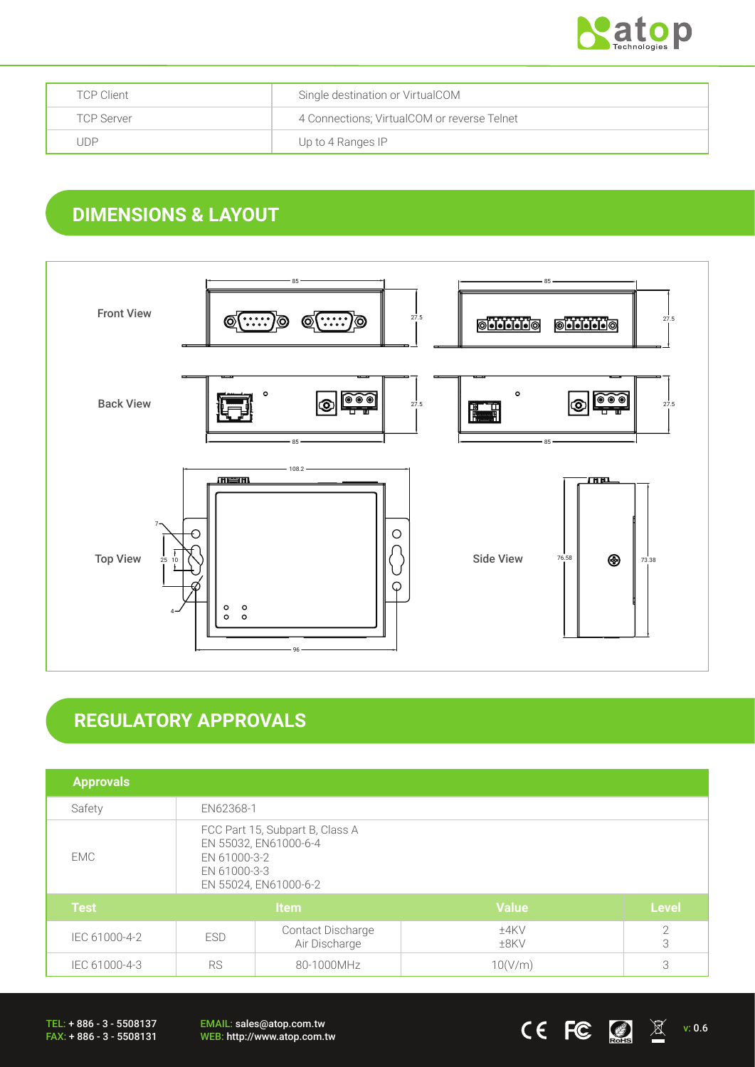

| <b>TCP Client</b> | Single destination or VirtualCOM            |
|-------------------|---------------------------------------------|
| <b>TCP Server</b> | 4 Connections; VirtualCOM or reverse Telnet |
| . JDP             | Up to 4 Ranges IP                           |

## **DIMENSIONS & LAYOUT**



# **REGULATORY APPROVALS**

| <b>Approvals</b> |                                                                                                                   |                                    |                 |                 |
|------------------|-------------------------------------------------------------------------------------------------------------------|------------------------------------|-----------------|-----------------|
| Safety           | EN62368-1                                                                                                         |                                    |                 |                 |
| EMC              | FCC Part 15, Subpart B, Class A<br>EN 55032, EN61000-6-4<br>EN 61000-3-2<br>EN 61000-3-3<br>EN 55024, EN61000-6-2 |                                    |                 |                 |
| <b>Test</b>      | Item                                                                                                              |                                    | <b>Value</b>    | <b>Level</b>    |
| IEC 61000-4-2    | <b>ESD</b>                                                                                                        | Contact Discharge<br>Air Discharge | ±4KV<br>$±8$ KV | $\sqrt{2}$<br>3 |
| IEC 61000-4-3    | <b>RS</b><br>80-1000MHz                                                                                           |                                    | 10(V/m)         | 3               |